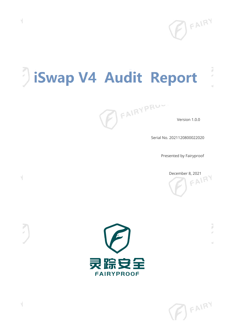

# iSwap V4 Audit Report

þ 9

id.

FAIRYPRU

Serial No. 2021120800022020

Presented by Fairyproof

December 8, 2021



 $(B)$ FAIRY

 $\overline{\mathcal{A}}$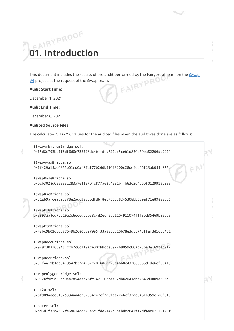# **01. Introduction**

This document includes the results of the audit performed by the Fairyproof team on the <u>iSwap V4</u> project, at the request of the iSwap team.<br>**Audit Start Time:**  $\underline{V4}$  project, at the request of the iSwap team.

#### **Audit Start Time:**

December 1, 2021

**Audit End Time:**

December 6, 2021

#### **Audited Source Files:**

The calculated SHA-256 values for the audited files when the audit was done are as follows:

```
ISwapArbitrumBridge.sol:
0x65d8c793bc1f8df6d8e728528dc4bffdcd727db5ceb1d850b70ba82206db9979
ISwapAvaxBridge.sol:
0x6f429a15ae0355e01cd0af8fef77b26db91028200c28defeb66f23ab053c875b
ISwapBaseBridge.sol:
0x0cb3028d055333c283a76415704c877562d4281bffb63c2d4660f0129919c233
ISwapBscBridge.sol:
0xd1ab95fcea393278e2adc9983bdfdbf8e6755b38245308bb689ef71e89888db6
ISwapEthBridge.sol:
0x3893a53ed7db19e2c6eeedee028c4d2ecf9ae1104911074fff8bd35469b59d03
ISwapFtmBridge.sol:
0x42bc9b01630c77649b26806827995f33a985c310b78e3d35748ffaf3d16c6461
ISwapHecoBridge.sol:
0x929f3032659481ccb2c6c119ace00fbbcbe592269059c00ad73ba0e16974c9f2
ISwapOecBridge.sol:
0x91f4a19b1dd9410547b37d4282c701686da76a46b8c437066586d1de6cf89413
ISwapPolygonBridge.sol:
0x932af9b9a35dd9aa785483c46fc3421103dee97dba2041dba7643d0a098606b0
THRC20 sol:
0x8f909a8cc5f325334aa4c767554ce7cf2d8faa7ce6cf37dc8461e959c1d0f8f0
IRouter.sol:
0x8d3d1f32a4632fe68614cc775e5c1fde5147b08abdc2647ff4df4ac07115170f
```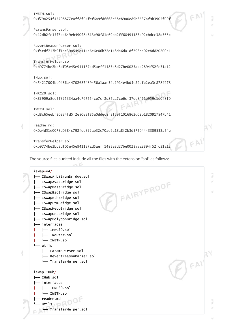```
IWETH.sol:
0xf79a254f47708877e0ff8f94fcf6a9fd6668c58e89a0e89b8537af9b3905f09f
ParamsParser.sol:
0x12db2fc15f3ea649eb490f8e613e90f81e69bb2ff68494183d92cbdcc38d365c
RevertReasonParser.sol:
0xf4cdf713b9f1ae39a549d414e6e6c86b72a148da6d01df793ca02e8d820200e1
        VPRY
TransferHelper.sol:
0xb9774be2bc8df05e45e941137ad5aeff1485e8d27be0023aaa2894f52fc31a12
IHub.sol:
0x54217004bc0486a44702687489456a1aae34a2914e4bd5c29afe2ea3c878f978
IHRC20.sol:
0x8f909a8cc5f325334aa4c767554ce7cf2d8faa7ce6cf37dc8461e959c1d0f8f0
                                          C|\mathbb{A}|IWETH.sol:
0xd8c65eebf30834fd5f2e50e3f85e0ddec8f3f59f1016862d02b1820917547b41
readme.md:
0x0e4d51e0078d0384c792fdc322ab32c70ac9a18a8f2b3d57504443309532a54e
TransferHelper.sol:
0xb9774be2bc8df05e45e941137ad5aeff1485e8d27be0023aaa2894f52fc31a12
```
The source files audited include all the files with the extension "sol" as follows:

iswap-v4/ ä ├── ISwapArbitrumBridge.sol FAIRYPROOF ├── ISwapAvaxBridge.sol u ├── ISwapBaseBridge.sol ├── ISwapBscBridge.sol ├── ISwapEthBridge.sol ├── ISwapFtmBridge.sol ├── ISwapHecoBridge.sol ├── ISwapOecBridge.sol ├── ISwapPolygonBridge.sol ├── interfaces | ├── IHRC20.sol | ├── IRouter.sol | └── IWETH.sol └── utils ├── ParamsParser.sol  $\left.\right\}$  FAIT ├── RevertReasonParser.sol └── TransferHelper.sol iswap-IHub/ ├── IHub.sol ├── interfaces | ├── IHRC20.sol | └── IWETH.sol ├── readme.md utils, pROOF 7 s) └── TransferHelper.sol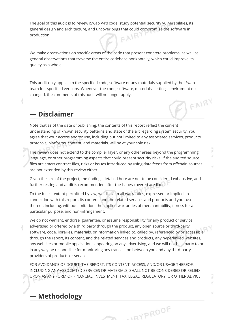The goal of this audit is to review iSwap V4's code, study potential security vulnerabilities, its general design and architecture, and uncover bugs that could compromise the software in  $FANRY$ production.

We make observations on specific areas of the code that present concrete problems, as well as general observations that traverse the entire codebase horizontally, which could improve its quality as a whole.

This audit only applies to the specified code, software or any materials supplied by the iSwap team for specified versions. Whenever the code, software, materials, settings, enviroment etc is changed, the comments of this audit will no longer apply. FAIRY

#### **— Disclaimer**

Note that as of the date of publishing, the contents of this report reflect the current understanding of known security patterns and state of the art regarding system security. You agree that your access and/or use, including but not limited to any associated services, products, protocols, platforms, content, and materials, will be at your sole risk.

The review does not extend to the compiler layer, or any other areas beyond the programming language, or other programming aspects that could present security risks. If the audited source files are smart contract files, risks or issues introduced by using data feeds from offchain sources are not extended by this review either.

Given the size of the project, the findings detailed here are not to be considered exhaustive, and further testing and audit is recommended after the issues covered are fixed.

To the fullest extent permitted by law, we disclaim all warranties, expressed or implied, in connection with this report, its content, and the related services and products and your use thereof, including, without limitation, the implied warranties of merchantability, fitness for a particular purpose, and non-infringement.

We do not warrant, endorse, guarantee, or assume responsibility for any product or service advertised or offered by a third party through the product, any open source or third-party software, code, libraries, materials, or information linked to, called by, referenced by or accessible through the report, its content, and the related services and products, any hyperlinked websites, any websites or mobile applications appearing on any advertising, and we will not be a party to or in any way be responsible for monitoring any transaction between you and any third-party providers of products or services.

FOR AVOIDANCE OF DOUBT, THE REPORT, ITS CONTENT, ACCESS, AND/OR USAGE THEREOF, INCLUDING ANY ASSOCIATED SERVICES OR MATERIALS, SHALL NOT BE CONSIDERED OR RELIED UPON AS ANY FORM OF FINANCIAL, INVESTMENT, TAX, LEGAL, REGULATORY, OR OTHER ADVICE.

**TERM** 

..aypROOF

#### **— Methodology**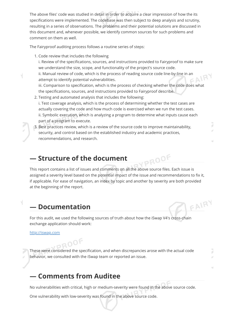The above files' code was studied in detail in order to acquire a clear impression of how the its specifications were implemented. The codebase was then subject to deep analysis and scrutiny, resulting in a series of observations. The problems and their potential solutions are discussed in this document and, whenever possible, we identify common sources for such problems and comment on them as well.

The Fairyproof auditing process follows a routine series of steps:

1. Code review that includes the following

i. Review of the specifications, sources, and instructions provided to Fairyproof to make sure we understand the size, scope, and functionality of the project's source code.

ii. Manual review of code, which is the process of reading source code line-by-line in an attempt to identify potential vulnerabilities.

iii. Comparison to specification, which is the process of checking whether the code does what the specifications, sources, and instructions provided to Fairyproof describe.

- 2. Testing and automated analysis that includes the following: i. Test coverage analysis, which is the process of determining whether the test cases are actually covering the code and how much code is exercised when we run the test cases. ii. Symbolic execution, which is analyzing a program to determine what inputs cause each part of a program to execute.
- 

3. Best practices review, which is a review of the source code to improve maintainability, security, and control based on the established industry and academic practices, recommendations, and research.

#### **— Structure of the document**

PROOF This report contains a list of issues and comments on all the above source files. Each issue is assigned a severity level based on the potential impact of the issue and recommendations to fix it, if applicable. For ease of navigation, an index by topic and another by severity are both provided at the beginning of the report.

FAIRY

### **— Documentation**

For this audit, we used the following sources of truth about how the iSwap V4's cross-chain exchange application should work:

[http://iswap.com](http://iswap.com/)

These were considered the specification, and when discrepancies arose with the actual code behavior, we consulted with the iSwap team or reported an issue.

#### **— Comments from Auditee**

No vulnerabilities with critical, high or medium-severity were found in the above source code.

One vulnerability with low-severity was found in the above source code.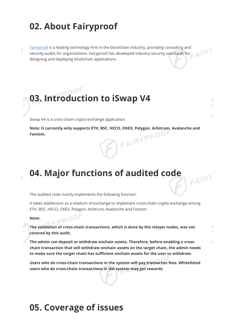## **02. About Fairyproof**

[Fairyproof](https://www.fairyproof.com/) is a leading technology firm in the blockchain industry, providing consulting and security audits for organizations. Fairyproof has developed industry security standards for designing and deploying blockchain applications.



iSwap V4 is a cross-chain crypto exchange application.

**Note: it currently only supports ETH, BSC, HECO, OKEX, Polygon, Arbitrum, Avalanche and Fantom.**

## **04. Major functions of audited code**

The audited code mainly implements the following function:

It takes stablecoins as a medium of exchange to implement cross-chain crypto exchange among ETH, BSC, HECO, OKEX, Polygon, Arbitrum, Avalanche and Fantom.

#### **Note:**

**The validation of cross-chain transactions, which is done by the relayer nodes, was not covered by this audit.**

**The admin can deposit or withdraw onchain assets. Therefore, before enabling a crosschain transaction that will withdraw onchain assets on the target chain, the admin needs to make sure the target chain has sufficient onchain assets for the user to withdraw.**

**Users who do cross-chain transactions in the system will pay transacton fees. Whitelisted users who do cross-chain transactions in the system may get rewards.**

## **05. Coverage of issues**

FAIRY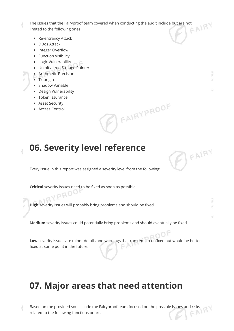The issues that the Fairyproof team covered when conducting the audit include but are not limited to the following ones:

- Re-entrancy Attack
- DDos Attack
- Integer Overflow
- Function Visibility
- Logic Vulnerability
- Uninitialized Storage Pointer
- Arithmetic Precision
- Tx.origin
- Shadow Variable
- Design Vulnerability
- Token Issurance
- Asset Security
- Access Control



þ ¥

F FAIRY

## **06. Severity level reference**

Every issue in this report was assigned a severity level from the following:

**Critical** severity issues need to be fixed as soon as possible.

**High** severity issues will probably bring problems and should be fixed.

**Medium** severity issues could potentially bring problems and should eventually be fixed.

**Low** severity issues are minor details and warnings that can remain unfixed but would be better  $CAVY$ fixed at some point in the future.

## **07. Major areas that need attention**

Based on the provided souce code the Fairyproof team focused on the possible issues and risks related to the following functions or areas. related to the following functions or areas.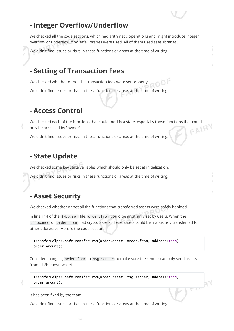#### **- Integer Overflow/Underflow**

We checked all the code sections, which had arithmetic operations and might introduce integer overflow or underflow if no safe libraries were used. All of them used safe libraries.

We didn't find issues or risks in these functions or areas at the time of writing.

#### **- Setting of Transaction Fees**

We checked whether or not the transaction fees were set properly.

We didn't find issues or risks in these functions or areas at the time of writing.

#### **- Access Control**

We checked each of the functions that could modify a state, especially those functions that could<br>only be accessed by "owner".<br>We did that is a state of the state of the state of the state of the state of the state of the only be accessed by "owner".

We didn't find issues or risks in these functions or areas at the time of writing.

#### **- State Update**

We checked some key state variables which should only be set at initialization.

We didn't find issues or risks in these functions or areas at the time of writing.

#### **- Asset Security**

We checked whether or not all the functions that transferred assets were safely hanlded.

In line 114 of the IHub.sol file, order.from could be arbitrarily set by users. When the allowance of order.from had crypto assets, these assets could be maliciously transferred to other addresses. Here is the code section:

TransferHelper.safeTransferFrom(order.asset, order.from, address(this), order.amount);

Consider changing order. from to msg. sender to make sure the sender can only send assets from his/her own wallet:

 $F^{\mu\nu}$  $A^{\nu}$ 

TransferHelper.safeTransferFrom(order.asset, msg.sender, address(this), order.amount);

It has been fixed by the team.

We didn't find issues or risks in these functions or areas at the time of writing.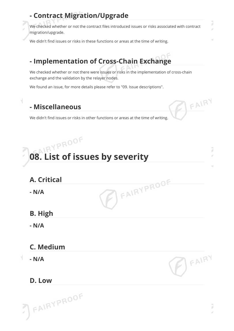## **- Contract Migration/Upgrade**

We checked whether or not the contract files introduced issues or risks associated with contract migration/upgrade.

We didn't find issues or risks in these functions or areas at the time of writing.

## **- Implementation of Cross-Chain Exchange**

We checked whether or not there were issues or risks in the implementation of cross-chain exchange and the validation by the relayer nodes.

We found an issue, for more details please refer to "09. Issue descriptions".

## **- Miscellaneous**

V

We didn't find issues or risks in other functions or areas at the time of writing.

## **08. List of issues by severity** FAIRYPROOF **A. Critical - N/A B. High - N/A C. Medium**  $B = A1BY$ **- N/A**

## **D. Low**

7

J s

BEAIRY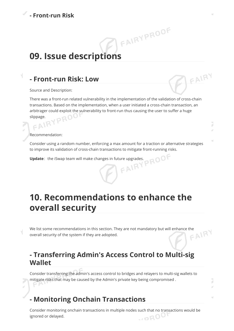## **09. Issue descriptions**

#### **- Front-run Risk: Low**

Source and Description:

Ч

There was a front-run related vulnerability in the implementation of the validation of cross-chain transactions. Based on the implementation, when a user initiated a cross-chain transaction, an arbitrager could exploit the vulnerability to front-run thus causing the user to suffer a huge slippage. slippage.

FAIRYPROOF

Recommendation:

 $> 1.1$ 

Consider using a random number, enforcing a max amount for a traction or alternative strategies to improve its validation of cross-chain transactions to mitigate front-running risks.<br> **Update**: the iSwap team will make changes in future upgrades.

**Update**: the iSwap team will make changes in future upgrades.

## **10. Recommendations to enhance the overall security**

We list some recommendations in this section. They are not mandatory but will enhance the overall security of the system if they are adopted. overall security of the system if they are adopted.

#### **- Transferring Admin's Access Control to Multi-sig Wallet**

Consider transferring the admin's access control to bridges and relayers to multi-sig wallets to mitigate risks that may be caused by the Admin's private key being compromised .

#### **- Monitoring Onchain Transactions**

Consider monitoring onchain transactions in multiple nodes such that no transactions would be  $100^{6}$ ignored or delayed.

ú

¥

FAIRY